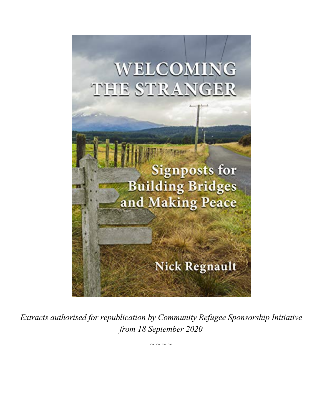

*Extracts authorised for republication by Community Refugee Sponsorship Initiative from 18 September 2020*

 $\sim$   $\sim$   $\sim$   $\sim$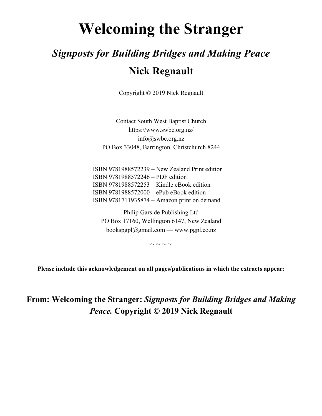# **Welcoming the Stranger**

## *Signposts for Building Bridges and Making Peace* **Nick Regnault**

Copyright © 2019 Nick Regnault

Contact South West Baptist Church https://www.swbc.org.nz/ info@swbc.org.nz PO Box 33048, Barrington, Christchurch 8244

ISBN 9781988572239 – New Zealand Print edition ISBN 9781988572246 – PDF edition ISBN 9781988572253 – Kindle eBook edition ISBN 9781988572000 – ePub eBook edition ISBN 9781711935874 – Amazon print on demand

Philip Garside Publishing Ltd PO Box 17160, Wellington 6147, New Zealand bookspgpl@gmail.com — www.pgpl.co.nz

 $\sim$   $\sim$   $\sim$   $\sim$ 

**Please include this acknowledgement on all pages/publications in which the extracts appear:**

## **From: Welcoming the Stranger:** *Signposts for Building Bridges and Making Peace.* **Copyright © 2019 Nick Regnault**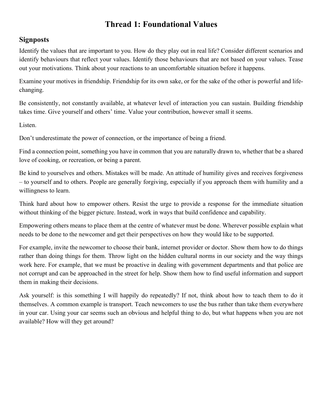#### **Thread 1: Foundational Values**

#### **Signposts**

Identify the values that are important to you. How do they play out in real life? Consider different scenarios and identify behaviours that reflect your values. Identify those behaviours that are not based on your values. Tease out your motivations. Think about your reactions to an uncomfortable situation before it happens.

Examine your motives in friendship. Friendship for its own sake, or for the sake of the other is powerful and lifechanging.

Be consistently, not constantly available, at whatever level of interaction you can sustain. Building friendship takes time. Give yourself and others' time. Value your contribution, however small it seems.

Listen.

Don't underestimate the power of connection, or the importance of being a friend.

Find a connection point, something you have in common that you are naturally drawn to, whether that be a shared love of cooking, or recreation, or being a parent.

Be kind to yourselves and others. Mistakes will be made. An attitude of humility gives and receives forgiveness – to yourself and to others. People are generally forgiving, especially if you approach them with humility and a willingness to learn.

Think hard about how to empower others. Resist the urge to provide a response for the immediate situation without thinking of the bigger picture. Instead, work in ways that build confidence and capability.

Empowering others means to place them at the centre of whatever must be done. Wherever possible explain what needs to be done to the newcomer and get their perspectives on how they would like to be supported.

For example, invite the newcomer to choose their bank, internet provider or doctor. Show them how to do things rather than doing things for them. Throw light on the hidden cultural norms in our society and the way things work here. For example, that we must be proactive in dealing with government departments and that police are not corrupt and can be approached in the street for help. Show them how to find useful information and support them in making their decisions.

Ask yourself: is this something I will happily do repeatedly? If not, think about how to teach them to do it themselves. A common example is transport. Teach newcomers to use the bus rather than take them everywhere in your car. Using your car seems such an obvious and helpful thing to do, but what happens when you are not available? How will they get around?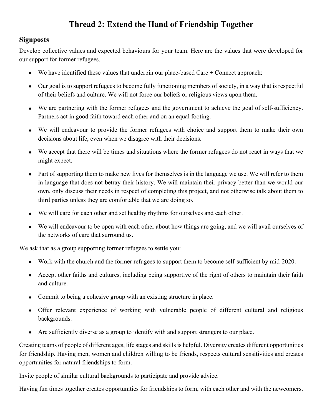## **Thread 2: Extend the Hand of Friendship Together**

#### **Signposts**

Develop collective values and expected behaviours for your team. Here are the values that were developed for our support for former refugees.

- We have identified these values that underpin our place-based Care  $+$  Connect approach:
- Our goal is to support refugees to become fully functioning members of society, in a way that is respectful of their beliefs and culture. We will not force our beliefs or religious views upon them.
- We are partnering with the former refugees and the government to achieve the goal of self-sufficiency. Partners act in good faith toward each other and on an equal footing.
- We will endeavour to provide the former refugees with choice and support them to make their own decisions about life, even when we disagree with their decisions.
- We accept that there will be times and situations where the former refugees do not react in ways that we might expect.
- Part of supporting them to make new lives for themselves is in the language we use. We will refer to them in language that does not betray their history. We will maintain their privacy better than we would our own, only discuss their needs in respect of completing this project, and not otherwise talk about them to third parties unless they are comfortable that we are doing so.
- We will care for each other and set healthy rhythms for ourselves and each other.
- We will endeavour to be open with each other about how things are going, and we will avail ourselves of the networks of care that surround us.

We ask that as a group supporting former refugees to settle you:

- Work with the church and the former refugees to support them to become self-sufficient by mid-2020.
- Accept other faiths and cultures, including being supportive of the right of others to maintain their faith and culture.
- Commit to being a cohesive group with an existing structure in place.
- Offer relevant experience of working with vulnerable people of different cultural and religious backgrounds.
- Are sufficiently diverse as a group to identify with and support strangers to our place.

Creating teams of people of different ages, life stages and skills is helpful. Diversity creates different opportunities for friendship. Having men, women and children willing to be friends, respects cultural sensitivities and creates opportunities for natural friendships to form.

Invite people of similar cultural backgrounds to participate and provide advice.

Having fun times together creates opportunities for friendships to form, with each other and with the newcomers.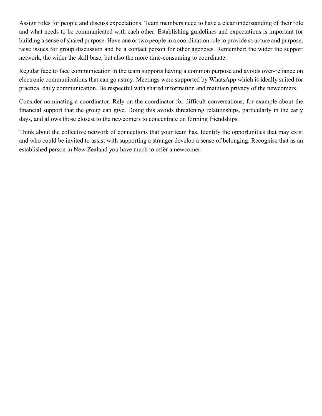Assign roles for people and discuss expectations. Team members need to have a clear understanding of their role and what needs to be communicated with each other. Establishing guidelines and expectations is important for building a sense of shared purpose. Have one or two people in a coordination role to provide structure and purpose, raise issues for group discussion and be a contact person for other agencies. Remember: the wider the support network, the wider the skill base, but also the more time-consuming to coordinate.

Regular face to face communication in the team supports having a common purpose and avoids over-reliance on electronic communications that can go astray. Meetings were supported by WhatsApp which is ideally suited for practical daily communication. Be respectful with shared information and maintain privacy of the newcomers.

Consider nominating a coordinator. Rely on the coordinator for difficult conversations, for example about the financial support that the group can give. Doing this avoids threatening relationships, particularly in the early days, and allows those closest to the newcomers to concentrate on forming friendships.

Think about the collective network of connections that your team has. Identify the opportunities that may exist and who could be invited to assist with supporting a stranger develop a sense of belonging. Recognise that as an established person in New Zealand you have much to offer a newcomer.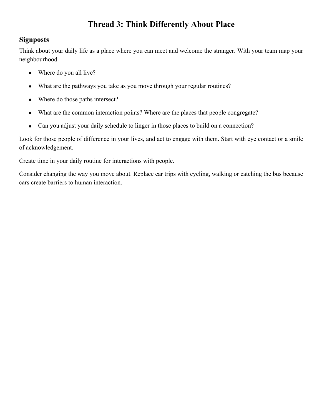## **Thread 3: Think Differently About Place**

#### **Signposts**

Think about your daily life as a place where you can meet and welcome the stranger. With your team map your neighbourhood.

- Where do you all live?
- What are the pathways you take as you move through your regular routines?
- Where do those paths intersect?
- What are the common interaction points? Where are the places that people congregate?
- Can you adjust your daily schedule to linger in those places to build on a connection?

Look for those people of difference in your lives, and act to engage with them. Start with eye contact or a smile of acknowledgement.

Create time in your daily routine for interactions with people.

Consider changing the way you move about. Replace car trips with cycling, walking or catching the bus because cars create barriers to human interaction.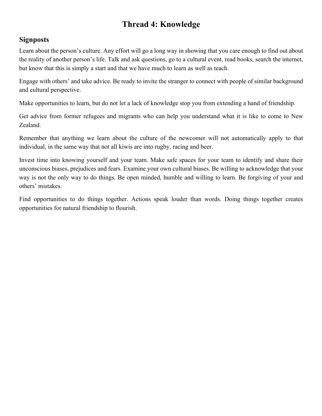## **Thread 4: Knowledge**

#### **Signposts**

Learn about the person's culture. Any effort will go a long way in showing that you care enough to find out about the reality of another person's life. Talk and ask questions, go to a cultural event, read books, search the internet, but know that this is simply a start and that we have much to learn as well as teach.

Engage with others' and take advice. Be ready to invite the stranger to connect with people of similar background and cultural perspective.

Make opportunities to learn, but do not let a lack of knowledge stop you from extending a hand of friendship.

Get advice from former refugees and migrants who can help you understand what it is like to come to New Zealand.

Remember that anything we learn about the culture of the newcomer will not automatically apply to that individual, in the same way that not all kiwis are into rugby, racing and beer.

Invest time into knowing yourself and your team. Make safe spaces for your team to identify and share their unconscious biases, prejudices and fears. Examine your own cultural biases. Be willing to acknowledge that your way is not the only way to do things. Be open minded, humble and willing to learn. Be forgiving of your and others' mistakes.

Find opportunities to do things together. Actions speak louder than words. Doing things together creates opportunities for natural friendship to flourish.